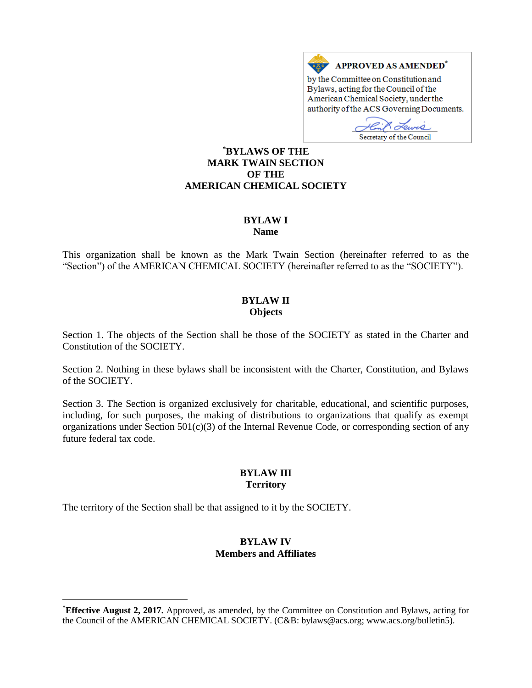

Bylaws, acting for the Council of the American Chemical Society, under the authority of the ACS Governing Documents.

i2 Secretary of the Council

## **\*BYLAWS OF THE MARK TWAIN SECTION OF THE AMERICAN CHEMICAL SOCIETY**

# **BYLAW I**

**Name**

This organization shall be known as the Mark Twain Section (hereinafter referred to as the "Section") of the AMERICAN CHEMICAL SOCIETY (hereinafter referred to as the "SOCIETY").

## **BYLAW II Objects**

Section 1. The objects of the Section shall be those of the SOCIETY as stated in the Charter and Constitution of the SOCIETY.

Section 2. Nothing in these bylaws shall be inconsistent with the Charter, Constitution, and Bylaws of the SOCIETY.

Section 3. The Section is organized exclusively for charitable, educational, and scientific purposes, including, for such purposes, the making of distributions to organizations that qualify as exempt organizations under Section  $501(c)(3)$  of the Internal Revenue Code, or corresponding section of any future federal tax code.

# **BYLAW III Territory**

The territory of the Section shall be that assigned to it by the SOCIETY.

 $\overline{a}$ 

# **BYLAW IV Members and Affiliates**

**<sup>\*</sup>Effective August 2, 2017.** Approved, as amended, by the Committee on Constitution and Bylaws, acting for the Council of the AMERICAN CHEMICAL SOCIETY. (C&B: bylaws@acs.org; www.acs.org/bulletin5).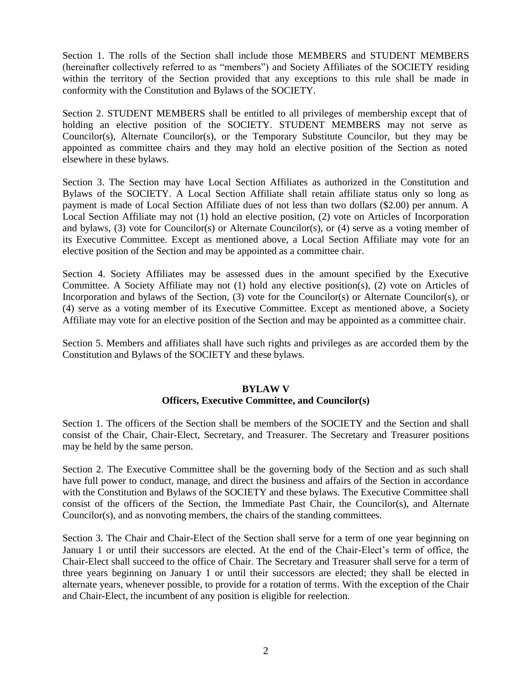Section 1. The rolls of the Section shall include those MEMBERS and STUDENT MEMBERS (hereinafter collectively referred to as "members") and Society Affiliates of the SOCIETY residing within the territory of the Section provided that any exceptions to this rule shall be made in conformity with the Constitution and Bylaws of the SOCIETY.

Section 2. STUDENT MEMBERS shall be entitled to all privileges of membership except that of holding an elective position of the SOCIETY. STUDENT MEMBERS may not serve as Councilor(s), Alternate Councilor(s), or the Temporary Substitute Councilor, but they may be appointed as committee chairs and they may hold an elective position of the Section as noted elsewhere in these bylaws.

Section 3. The Section may have Local Section Affiliates as authorized in the Constitution and Bylaws of the SOCIETY. A Local Section Affiliate shall retain affiliate status only so long as payment is made of Local Section Affiliate dues of not less than two dollars (\$2.00) per annum. A Local Section Affiliate may not (1) hold an elective position, (2) vote on Articles of Incorporation and bylaws, (3) vote for Councilor(s) or Alternate Councilor(s), or (4) serve as a voting member of its Executive Committee. Except as mentioned above, a Local Section Affiliate may vote for an elective position of the Section and may be appointed as a committee chair.

Section 4. Society Affiliates may be assessed dues in the amount specified by the Executive Committee. A Society Affiliate may not (1) hold any elective position(s), (2) vote on Articles of Incorporation and bylaws of the Section, (3) vote for the Councilor(s) or Alternate Councilor(s), or (4) serve as a voting member of its Executive Committee. Except as mentioned above, a Society Affiliate may vote for an elective position of the Section and may be appointed as a committee chair.

Section 5. Members and affiliates shall have such rights and privileges as are accorded them by the Constitution and Bylaws of the SOCIETY and these bylaws.

#### **BYLAW V Officers, Executive Committee, and Councilor(s)**

Section 1. The officers of the Section shall be members of the SOCIETY and the Section and shall consist of the Chair, Chair-Elect, Secretary, and Treasurer. The Secretary and Treasurer positions may be held by the same person.

Section 2. The Executive Committee shall be the governing body of the Section and as such shall have full power to conduct, manage, and direct the business and affairs of the Section in accordance with the Constitution and Bylaws of the SOCIETY and these bylaws. The Executive Committee shall consist of the officers of the Section, the Immediate Past Chair, the Councilor(s), and Alternate Councilor(s), and as nonvoting members, the chairs of the standing committees.

Section 3. The Chair and Chair-Elect of the Section shall serve for a term of one year beginning on January 1 or until their successors are elected. At the end of the Chair-Elect's term of office, the Chair-Elect shall succeed to the office of Chair. The Secretary and Treasurer shall serve for a term of three years beginning on January 1 or until their successors are elected; they shall be elected in alternate years, whenever possible, to provide for a rotation of terms. With the exception of the Chair and Chair-Elect, the incumbent of any position is eligible for reelection.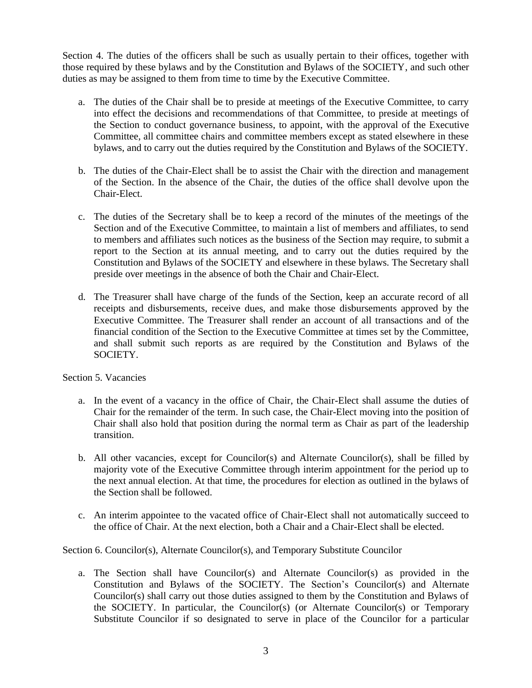Section 4. The duties of the officers shall be such as usually pertain to their offices, together with those required by these bylaws and by the Constitution and Bylaws of the SOCIETY, and such other duties as may be assigned to them from time to time by the Executive Committee.

- a. The duties of the Chair shall be to preside at meetings of the Executive Committee, to carry into effect the decisions and recommendations of that Committee, to preside at meetings of the Section to conduct governance business, to appoint, with the approval of the Executive Committee, all committee chairs and committee members except as stated elsewhere in these bylaws, and to carry out the duties required by the Constitution and Bylaws of the SOCIETY.
- b. The duties of the Chair-Elect shall be to assist the Chair with the direction and management of the Section. In the absence of the Chair, the duties of the office shall devolve upon the Chair-Elect.
- c. The duties of the Secretary shall be to keep a record of the minutes of the meetings of the Section and of the Executive Committee, to maintain a list of members and affiliates, to send to members and affiliates such notices as the business of the Section may require, to submit a report to the Section at its annual meeting, and to carry out the duties required by the Constitution and Bylaws of the SOCIETY and elsewhere in these bylaws. The Secretary shall preside over meetings in the absence of both the Chair and Chair-Elect.
- d. The Treasurer shall have charge of the funds of the Section, keep an accurate record of all receipts and disbursements, receive dues, and make those disbursements approved by the Executive Committee. The Treasurer shall render an account of all transactions and of the financial condition of the Section to the Executive Committee at times set by the Committee, and shall submit such reports as are required by the Constitution and Bylaws of the SOCIETY.

#### Section 5. Vacancies

- a. In the event of a vacancy in the office of Chair, the Chair-Elect shall assume the duties of Chair for the remainder of the term. In such case, the Chair-Elect moving into the position of Chair shall also hold that position during the normal term as Chair as part of the leadership transition.
- b. All other vacancies, except for Councilor(s) and Alternate Councilor(s), shall be filled by majority vote of the Executive Committee through interim appointment for the period up to the next annual election. At that time, the procedures for election as outlined in the bylaws of the Section shall be followed.
- c. An interim appointee to the vacated office of Chair-Elect shall not automatically succeed to the office of Chair. At the next election, both a Chair and a Chair-Elect shall be elected.

Section 6. Councilor(s), Alternate Councilor(s), and Temporary Substitute Councilor

a. The Section shall have Councilor(s) and Alternate Councilor(s) as provided in the Constitution and Bylaws of the SOCIETY. The Section's Councilor(s) and Alternate Councilor(s) shall carry out those duties assigned to them by the Constitution and Bylaws of the SOCIETY. In particular, the Councilor(s) (or Alternate Councilor(s) or Temporary Substitute Councilor if so designated to serve in place of the Councilor for a particular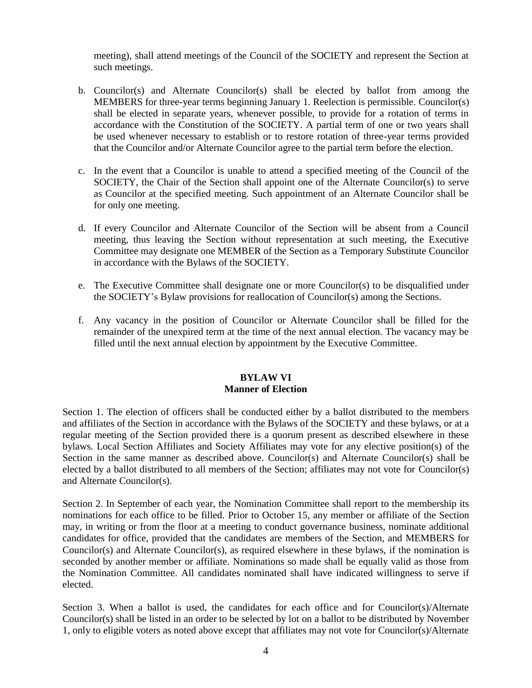meeting), shall attend meetings of the Council of the SOCIETY and represent the Section at such meetings.

- b. Councilor(s) and Alternate Councilor(s) shall be elected by ballot from among the MEMBERS for three-year terms beginning January 1. Reelection is permissible. Councilor(s) shall be elected in separate years, whenever possible, to provide for a rotation of terms in accordance with the Constitution of the SOCIETY. A partial term of one or two years shall be used whenever necessary to establish or to restore rotation of three-year terms provided that the Councilor and/or Alternate Councilor agree to the partial term before the election.
- c. In the event that a Councilor is unable to attend a specified meeting of the Council of the SOCIETY, the Chair of the Section shall appoint one of the Alternate Councilor(s) to serve as Councilor at the specified meeting. Such appointment of an Alternate Councilor shall be for only one meeting.
- d. If every Councilor and Alternate Councilor of the Section will be absent from a Council meeting, thus leaving the Section without representation at such meeting, the Executive Committee may designate one MEMBER of the Section as a Temporary Substitute Councilor in accordance with the Bylaws of the SOCIETY.
- e. The Executive Committee shall designate one or more Councilor(s) to be disqualified under the SOCIETY's Bylaw provisions for reallocation of Councilor(s) among the Sections.
- f. Any vacancy in the position of Councilor or Alternate Councilor shall be filled for the remainder of the unexpired term at the time of the next annual election. The vacancy may be filled until the next annual election by appointment by the Executive Committee.

### **BYLAW VI Manner of Election**

Section 1. The election of officers shall be conducted either by a ballot distributed to the members and affiliates of the Section in accordance with the Bylaws of the SOCIETY and these bylaws, or at a regular meeting of the Section provided there is a quorum present as described elsewhere in these bylaws. Local Section Affiliates and Society Affiliates may vote for any elective position(s) of the Section in the same manner as described above. Councilor(s) and Alternate Councilor(s) shall be elected by a ballot distributed to all members of the Section; affiliates may not vote for Councilor(s) and Alternate Councilor(s).

Section 2. In September of each year, the Nomination Committee shall report to the membership its nominations for each office to be filled. Prior to October 15, any member or affiliate of the Section may, in writing or from the floor at a meeting to conduct governance business, nominate additional candidates for office, provided that the candidates are members of the Section, and MEMBERS for Councilor(s) and Alternate Councilor(s), as required elsewhere in these bylaws, if the nomination is seconded by another member or affiliate. Nominations so made shall be equally valid as those from the Nomination Committee. All candidates nominated shall have indicated willingness to serve if elected.

Section 3. When a ballot is used, the candidates for each office and for Councilor(s)/Alternate Councilor(s) shall be listed in an order to be selected by lot on a ballot to be distributed by November 1, only to eligible voters as noted above except that affiliates may not vote for Councilor(s)/Alternate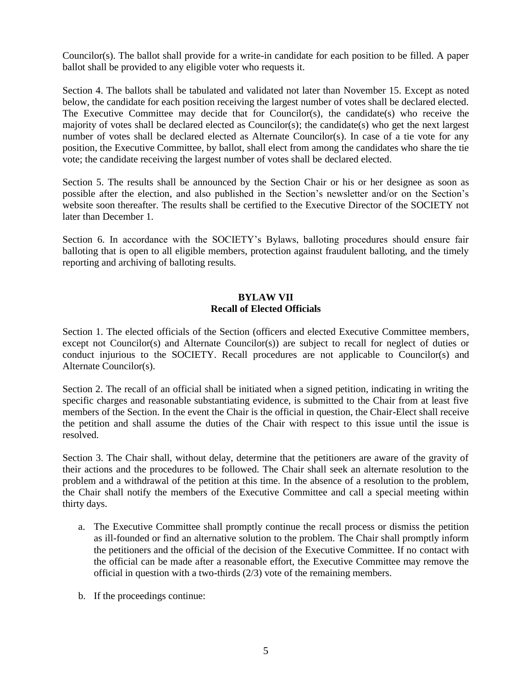Councilor(s). The ballot shall provide for a write-in candidate for each position to be filled. A paper ballot shall be provided to any eligible voter who requests it.

Section 4. The ballots shall be tabulated and validated not later than November 15. Except as noted below, the candidate for each position receiving the largest number of votes shall be declared elected. The Executive Committee may decide that for Councilor(s), the candidate(s) who receive the majority of votes shall be declared elected as Councilor(s); the candidate(s) who get the next largest number of votes shall be declared elected as Alternate Councilor(s). In case of a tie vote for any position, the Executive Committee, by ballot, shall elect from among the candidates who share the tie vote; the candidate receiving the largest number of votes shall be declared elected.

Section 5. The results shall be announced by the Section Chair or his or her designee as soon as possible after the election, and also published in the Section's newsletter and/or on the Section's website soon thereafter. The results shall be certified to the Executive Director of the SOCIETY not later than December 1.

Section 6. In accordance with the SOCIETY's Bylaws, balloting procedures should ensure fair balloting that is open to all eligible members, protection against fraudulent balloting, and the timely reporting and archiving of balloting results.

# **BYLAW VII Recall of Elected Officials**

Section 1. The elected officials of the Section (officers and elected Executive Committee members, except not Councilor(s) and Alternate Councilor(s)) are subject to recall for neglect of duties or conduct injurious to the SOCIETY. Recall procedures are not applicable to Councilor(s) and Alternate Councilor(s).

Section 2. The recall of an official shall be initiated when a signed petition, indicating in writing the specific charges and reasonable substantiating evidence, is submitted to the Chair from at least five members of the Section. In the event the Chair is the official in question, the Chair-Elect shall receive the petition and shall assume the duties of the Chair with respect to this issue until the issue is resolved.

Section 3. The Chair shall, without delay, determine that the petitioners are aware of the gravity of their actions and the procedures to be followed. The Chair shall seek an alternate resolution to the problem and a withdrawal of the petition at this time. In the absence of a resolution to the problem, the Chair shall notify the members of the Executive Committee and call a special meeting within thirty days.

- a. The Executive Committee shall promptly continue the recall process or dismiss the petition as ill-founded or find an alternative solution to the problem. The Chair shall promptly inform the petitioners and the official of the decision of the Executive Committee. If no contact with the official can be made after a reasonable effort, the Executive Committee may remove the official in question with a two-thirds (2/3) vote of the remaining members.
- b. If the proceedings continue: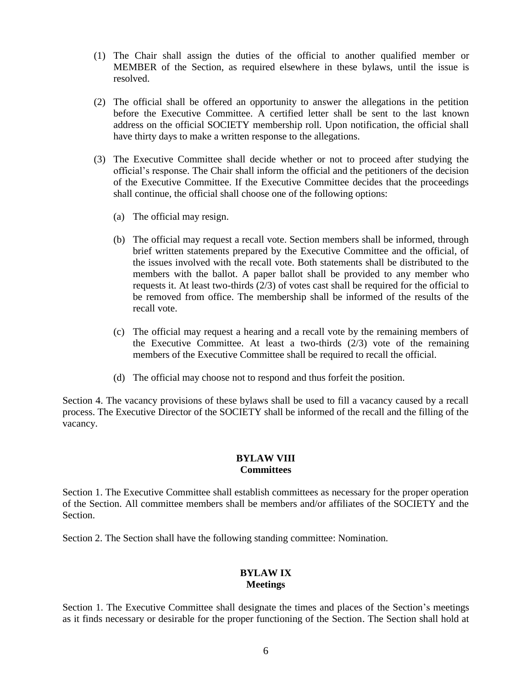- (1) The Chair shall assign the duties of the official to another qualified member or MEMBER of the Section, as required elsewhere in these bylaws, until the issue is resolved.
- (2) The official shall be offered an opportunity to answer the allegations in the petition before the Executive Committee. A certified letter shall be sent to the last known address on the official SOCIETY membership roll. Upon notification, the official shall have thirty days to make a written response to the allegations.
- (3) The Executive Committee shall decide whether or not to proceed after studying the official's response. The Chair shall inform the official and the petitioners of the decision of the Executive Committee. If the Executive Committee decides that the proceedings shall continue, the official shall choose one of the following options:
	- (a) The official may resign.
	- (b) The official may request a recall vote. Section members shall be informed, through brief written statements prepared by the Executive Committee and the official, of the issues involved with the recall vote. Both statements shall be distributed to the members with the ballot. A paper ballot shall be provided to any member who requests it. At least two-thirds (2/3) of votes cast shall be required for the official to be removed from office. The membership shall be informed of the results of the recall vote.
	- (c) The official may request a hearing and a recall vote by the remaining members of the Executive Committee. At least a two-thirds  $(2/3)$  vote of the remaining members of the Executive Committee shall be required to recall the official.
	- (d) The official may choose not to respond and thus forfeit the position.

Section 4. The vacancy provisions of these bylaws shall be used to fill a vacancy caused by a recall process. The Executive Director of the SOCIETY shall be informed of the recall and the filling of the vacancy.

#### **BYLAW VIII Committees**

Section 1. The Executive Committee shall establish committees as necessary for the proper operation of the Section. All committee members shall be members and/or affiliates of the SOCIETY and the Section.

Section 2. The Section shall have the following standing committee: Nomination.

# **BYLAW IX Meetings**

Section 1. The Executive Committee shall designate the times and places of the Section's meetings as it finds necessary or desirable for the proper functioning of the Section. The Section shall hold at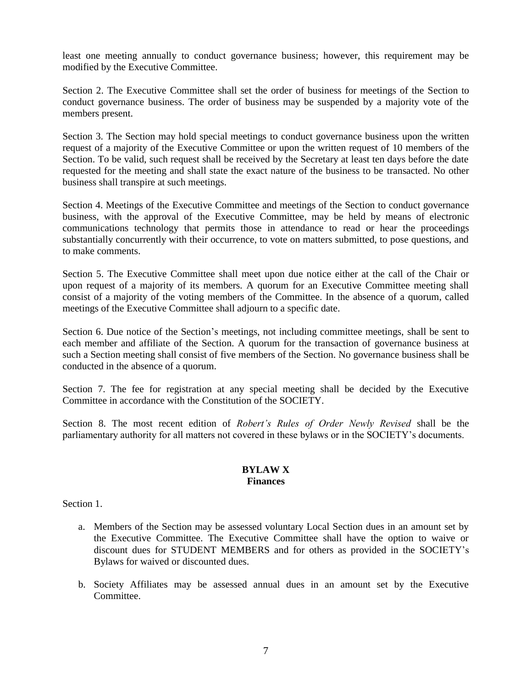least one meeting annually to conduct governance business; however, this requirement may be modified by the Executive Committee.

Section 2. The Executive Committee shall set the order of business for meetings of the Section to conduct governance business. The order of business may be suspended by a majority vote of the members present.

Section 3. The Section may hold special meetings to conduct governance business upon the written request of a majority of the Executive Committee or upon the written request of 10 members of the Section. To be valid, such request shall be received by the Secretary at least ten days before the date requested for the meeting and shall state the exact nature of the business to be transacted. No other business shall transpire at such meetings.

Section 4. Meetings of the Executive Committee and meetings of the Section to conduct governance business, with the approval of the Executive Committee, may be held by means of electronic communications technology that permits those in attendance to read or hear the proceedings substantially concurrently with their occurrence, to vote on matters submitted, to pose questions, and to make comments.

Section 5. The Executive Committee shall meet upon due notice either at the call of the Chair or upon request of a majority of its members. A quorum for an Executive Committee meeting shall consist of a majority of the voting members of the Committee. In the absence of a quorum, called meetings of the Executive Committee shall adjourn to a specific date.

Section 6. Due notice of the Section's meetings, not including committee meetings, shall be sent to each member and affiliate of the Section. A quorum for the transaction of governance business at such a Section meeting shall consist of five members of the Section. No governance business shall be conducted in the absence of a quorum.

Section 7. The fee for registration at any special meeting shall be decided by the Executive Committee in accordance with the Constitution of the SOCIETY.

Section 8. The most recent edition of *Robert's Rules of Order Newly Revised* shall be the parliamentary authority for all matters not covered in these bylaws or in the SOCIETY's documents.

#### **BYLAW X Finances**

Section 1.

- a. Members of the Section may be assessed voluntary Local Section dues in an amount set by the Executive Committee. The Executive Committee shall have the option to waive or discount dues for STUDENT MEMBERS and for others as provided in the SOCIETY's Bylaws for waived or discounted dues.
- b. Society Affiliates may be assessed annual dues in an amount set by the Executive Committee.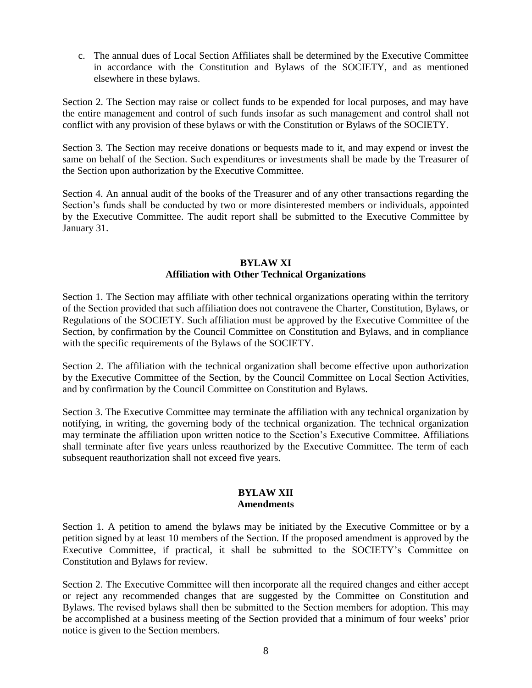c. The annual dues of Local Section Affiliates shall be determined by the Executive Committee in accordance with the Constitution and Bylaws of the SOCIETY, and as mentioned elsewhere in these bylaws.

Section 2. The Section may raise or collect funds to be expended for local purposes, and may have the entire management and control of such funds insofar as such management and control shall not conflict with any provision of these bylaws or with the Constitution or Bylaws of the SOCIETY.

Section 3. The Section may receive donations or bequests made to it, and may expend or invest the same on behalf of the Section. Such expenditures or investments shall be made by the Treasurer of the Section upon authorization by the Executive Committee.

Section 4. An annual audit of the books of the Treasurer and of any other transactions regarding the Section's funds shall be conducted by two or more disinterested members or individuals, appointed by the Executive Committee. The audit report shall be submitted to the Executive Committee by January 31.

#### **BYLAW XI Affiliation with Other Technical Organizations**

Section 1. The Section may affiliate with other technical organizations operating within the territory of the Section provided that such affiliation does not contravene the Charter, Constitution, Bylaws, or Regulations of the SOCIETY. Such affiliation must be approved by the Executive Committee of the Section, by confirmation by the Council Committee on Constitution and Bylaws, and in compliance with the specific requirements of the Bylaws of the SOCIETY.

Section 2. The affiliation with the technical organization shall become effective upon authorization by the Executive Committee of the Section, by the Council Committee on Local Section Activities, and by confirmation by the Council Committee on Constitution and Bylaws.

Section 3. The Executive Committee may terminate the affiliation with any technical organization by notifying, in writing, the governing body of the technical organization. The technical organization may terminate the affiliation upon written notice to the Section's Executive Committee. Affiliations shall terminate after five years unless reauthorized by the Executive Committee. The term of each subsequent reauthorization shall not exceed five years.

### **BYLAW XII Amendments**

Section 1. A petition to amend the bylaws may be initiated by the Executive Committee or by a petition signed by at least 10 members of the Section. If the proposed amendment is approved by the Executive Committee, if practical, it shall be submitted to the SOCIETY's Committee on Constitution and Bylaws for review.

Section 2. The Executive Committee will then incorporate all the required changes and either accept or reject any recommended changes that are suggested by the Committee on Constitution and Bylaws. The revised bylaws shall then be submitted to the Section members for adoption. This may be accomplished at a business meeting of the Section provided that a minimum of four weeks' prior notice is given to the Section members.